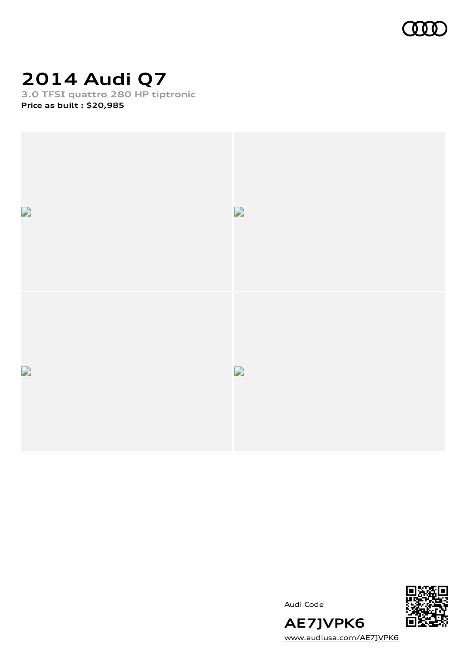

## **2014 Audi Q7**

**3.0 TFSI quattro 280 HP tiptronic Price as built [:](#page-10-0) \$20,985**



Audi Code



**AE7JVPK6** [www.audiusa.com/AE7JVPK6](https://www.audiusa.com/AE7JVPK6)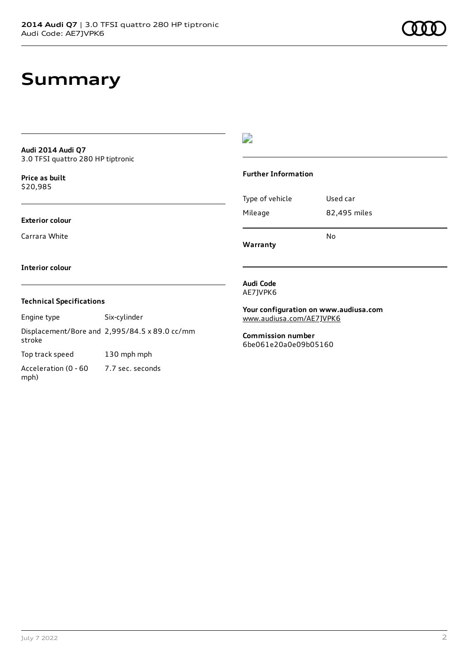## **Summary**

### **Audi 2014 Audi Q7** 3.0 TFSI quattro 280 HP tiptronic

**Price as buil[t](#page-10-0)** \$20,985

### **Exterior colour**

Carrara White

### $\overline{\phantom{a}}$

#### **Further Information**

Type of vehicle Used car Mileage 82,495 miles No

**Warranty**

### **Interior colour**

### **Technical Specifications**

Engine type Six-cylinder

Displacement/Bore and 2,995/84.5 x 89.0 cc/mm stroke Top track speed 130 mph mph

Acceleration (0 - 60 mph) 7.7 sec. seconds

### **Audi Code** AE7JVPK6

**Your configuration on www.audiusa.com**

[www.audiusa.com/AE7JVPK6](https://www.audiusa.com/AE7JVPK6)

**Commission number** 6be061e20a0e09b05160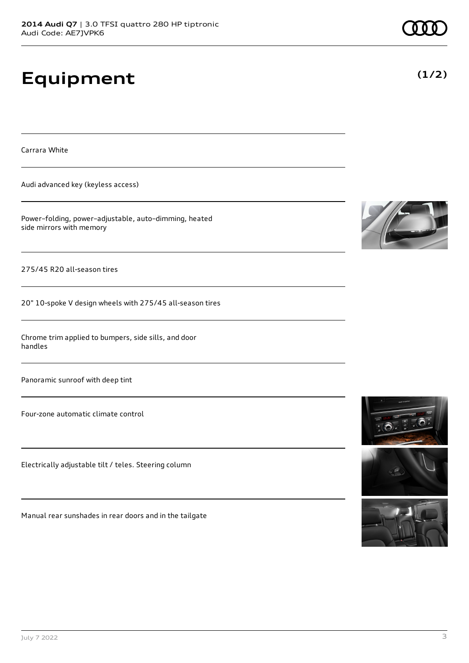# **Equipment**

Carrara White

Audi advanced key (keyless access)

Power–folding, power–adjustable, auto–dimming, heated side mirrors with memory

275/45 R20 all-season tires

20" 10-spoke V design wheels with 275/45 all-season tires

Chrome trim applied to bumpers, side sills, and door handles

Panoramic sunroof with deep tint

Four-zone automatic climate control

Electrically adjustable tilt / teles. Steering column

Manual rear sunshades in rear doors and in the tailgate







**(1/2)**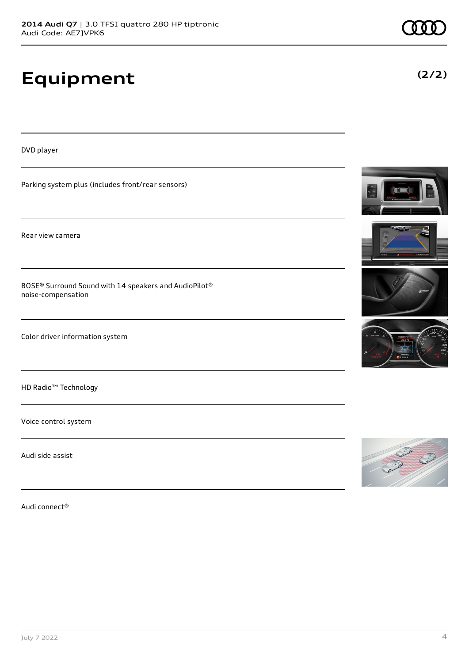# **Equipment**

DVD player

Parking system plus (includes front/rear sensors)

Rear view camera

BOSE® Surround Sound with 14 speakers and AudioPilot® noise-compensation

Color driver information system

HD Radio™ Technology

Voice control system

Audi side assist

Audi connect®









**(2/2)**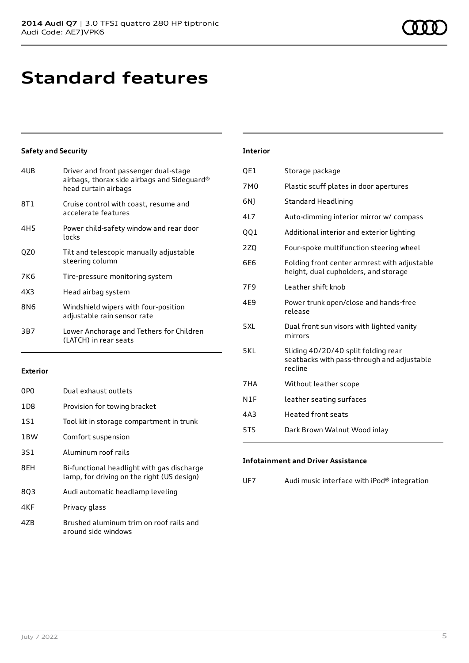## **Standard features**

### **Safety and Security**

| 4UB             | Driver and front passenger dual-stage<br>airbags, thorax side airbags and Sideguard®<br>head curtain airbags |
|-----------------|--------------------------------------------------------------------------------------------------------------|
| 8T1             | Cruise control with coast, resume and<br>accelerate features                                                 |
| 4H <sub>5</sub> | Power child-safety window and rear door<br>locks                                                             |
| QZ0             | Tilt and telescopic manually adjustable<br>steering column                                                   |
| 7K6             | Tire-pressure monitoring system                                                                              |
| 4X3             | Head airbag system                                                                                           |
| 8N6             | Windshield wipers with four-position<br>adjustable rain sensor rate                                          |
| 3B7             | Lower Anchorage and Tethers for Children<br>(LATCH) in rear seats                                            |

### **Exterior**

| 0PO             | Dual exhaust outlets                                                                     |
|-----------------|------------------------------------------------------------------------------------------|
| 1D <sub>8</sub> | Provision for towing bracket                                                             |
| 1S1             | Tool kit in storage compartment in trunk                                                 |
| 1 <sub>BW</sub> | Comfort suspension                                                                       |
| 3S1             | Aluminum roof rails                                                                      |
| 8EH             | Bi-functional headlight with gas discharge<br>lamp, for driving on the right (US design) |
| 803             | Audi automatic headlamp leveling                                                         |
| 4KF             | Privacy glass                                                                            |
| 47B             | Brushed aluminum trim on roof rails and<br>around side windows                           |

#### **Interior**

| QE1             | Storage package                                                                              |
|-----------------|----------------------------------------------------------------------------------------------|
| 7M <sub>0</sub> | Plastic scuff plates in door apertures                                                       |
| 6N)             | Standard Headlining                                                                          |
| 4L7             | Auto-dimming interior mirror w/ compass                                                      |
| 001             | Additional interior and exterior lighting                                                    |
| 2ZQ             | Four-spoke multifunction steering wheel                                                      |
| 6E6             | Folding front center armrest with adjustable<br>height, dual cupholders, and storage         |
| 7F9             | Leather shift knob                                                                           |
| 4E9             | Power trunk open/close and hands-free<br>release                                             |
| 5XL             | Dual front sun visors with lighted vanity<br>mirrors                                         |
| 5KL             | Sliding 40/20/40 split folding rear<br>seatbacks with pass-through and adjustable<br>recline |
| 7HA             | Without leather scope                                                                        |
| N1F             | leather seating surfaces                                                                     |
| 4A3             | <b>Heated front seats</b>                                                                    |
| 5TS             | Dark Brown Walnut Wood inlay                                                                 |

### **Infotainment and Driver Assistance**

| UF7 | Audi music interface with iPod® integration |
|-----|---------------------------------------------|
|-----|---------------------------------------------|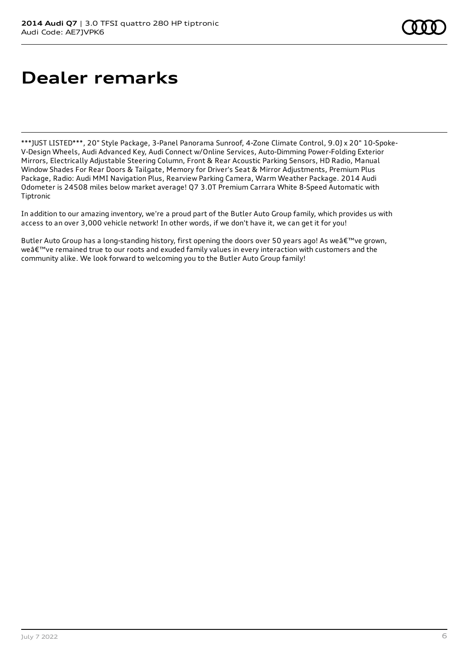# **Dealer remarks**

\*\*\*JUST LISTED\*\*\*, 20" Style Package, 3-Panel Panorama Sunroof, 4-Zone Climate Control, 9.0J x 20" 10-Spoke-V-Design Wheels, Audi Advanced Key, Audi Connect w/Online Services, Auto-Dimming Power-Folding Exterior Mirrors, Electrically Adjustable Steering Column, Front & Rear Acoustic Parking Sensors, HD Radio, Manual Window Shades For Rear Doors & Tailgate, Memory for Driver's Seat & Mirror Adjustments, Premium Plus Package, Radio: Audi MMI Navigation Plus, Rearview Parking Camera, Warm Weather Package. 2014 Audi Odometer is 24508 miles below market average! Q7 3.0T Premium Carrara White 8-Speed Automatic with Tiptronic

In addition to our amazing inventory, we're a proud part of the Butler Auto Group family, which provides us with access to an over 3,000 vehicle network! In other words, if we don't have it, we can get it for you!

Butler Auto Group has a long-standing history, first opening the doors over 50 years ago! As weâ€<sup>™</sup>ve grown, we've remained true to our roots and exuded family values in every interaction with customers and the community alike. We look forward to welcoming you to the Butler Auto Group family!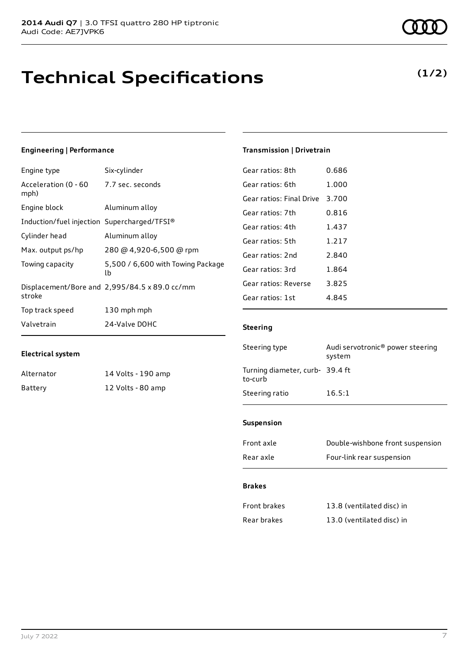## **Technical Specifications**

### **Engineering | Performance**

| Engine type                                     | Six-cylinder                                  |
|-------------------------------------------------|-----------------------------------------------|
| Acceleration (0 - 60 - 7.7 sec. seconds<br>mph) |                                               |
| Engine block                                    | Aluminum alloy                                |
| Induction/fuel injection Supercharged/TFSI®     |                                               |
| Cylinder head                                   | Aluminum alloy                                |
| Max. output ps/hp                               | 280 @ 4,920-6,500 @ rpm                       |
| Towing capacity                                 | 5,500 / 6,600 with Towing Package<br>lb       |
| stroke                                          | Displacement/Bore and 2,995/84.5 x 89.0 cc/mm |
| Top track speed                                 | 130 mph mph                                   |
| Valvetrain                                      | 24-Valve DOHC                                 |
|                                                 |                                               |

### **Electrical system**

| Alternator | 14 Volts - 190 amp |
|------------|--------------------|
| Battery    | 12 Volts - 80 amp  |

| Gear ratios: 8th         | 0.686 |
|--------------------------|-------|
| Gear ratios: 6th         | 1.000 |
| Gear ratios: Final Drive | 3 700 |
| Gear ratios: 7th         | 0.816 |
| Gear ratios: 4th         | 1.437 |
| Gear ratios: 5th         | 1.217 |
| Gear ratios: 2nd         | 2.840 |
| Gear ratios: 3rd         | 1,864 |
| Gear ratios: Reverse     | 3.825 |
| Gear ratios: 1st         | 4.845 |
|                          |       |

**Transmission | Drivetrain**

### **Steering**

| Steering type                             | Audi servotronic <sup>®</sup> power steering<br>system |
|-------------------------------------------|--------------------------------------------------------|
| Turning diameter, curb-39.4 ft<br>to-curb |                                                        |
| Steering ratio                            | 16.5:1                                                 |

### **Suspension**

| Front axle | Double-wishbone front suspension |
|------------|----------------------------------|
| Rear axle  | Four-link rear suspension        |

### **Brakes**

| Front brakes | 13.8 (ventilated disc) in |
|--------------|---------------------------|
| Rear brakes  | 13.0 (ventilated disc) in |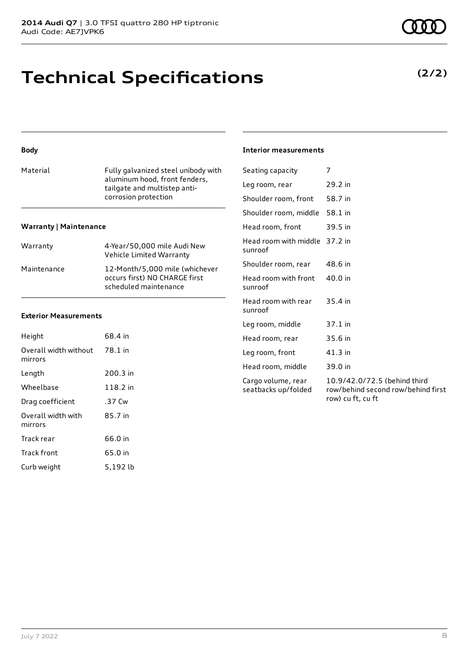## **Technical Specifications**

### **Body**

| Material | Fully galvanized steel unibody with |
|----------|-------------------------------------|
|          | aluminum hood, front fenders,       |
|          | tailgate and multistep anti-        |
|          | corrosion protection                |
|          |                                     |

### **Warranty | Maintenance**

| Warranty    | 4-Year/50,000 mile Audi New<br>Vehicle Limited Warranty                                  |
|-------------|------------------------------------------------------------------------------------------|
| Maintenance | 12-Month/5,000 mile (whichever<br>occurs first) NO CHARGE first<br>scheduled maintenance |

#### **Exterior Measurements**

| Height                           | 68.4 in  |
|----------------------------------|----------|
| Overall width without<br>mirrors | 78.1 in  |
| Length                           | 200.3 in |
| Wheelbase                        | 118.2 in |
| Drag coefficient                 | .37 Cw   |
| Overall width with<br>mirrors    | 85.7 in  |
| Track rear                       | 66.0 in  |
| <b>Track front</b>               | 65.0 in  |
| Curb weight                      | 5,192 lb |

### **Interior measurements**

| Seating capacity                          | 7                                                                                       |
|-------------------------------------------|-----------------------------------------------------------------------------------------|
| Leg room, rear                            | 29.2 in                                                                                 |
| Shoulder room, front                      | 58.7 in                                                                                 |
| Shoulder room, middle                     | 58.1 in                                                                                 |
| Head room, front                          | 39.5 in                                                                                 |
| Head room with middle<br>sunroof          | 37.2 in                                                                                 |
| Shoulder room, rear                       | 48.6 in                                                                                 |
| Head room with front<br>sunroof           | 40.0 in                                                                                 |
| Head room with rear<br>sunroof            | 35.4 in                                                                                 |
| Leg room, middle                          | $37.1$ in                                                                               |
| Head room, rear                           | 35.6 in                                                                                 |
| Leg room, front                           | $41.3$ in                                                                               |
| Head room, middle                         | 39.0 in                                                                                 |
| Cargo volume, rear<br>seatbacks up/folded | 10.9/42.0/72.5 (behind third<br>row/behind second row/behind first<br>row) cu ft, cu ft |

**(2/2)**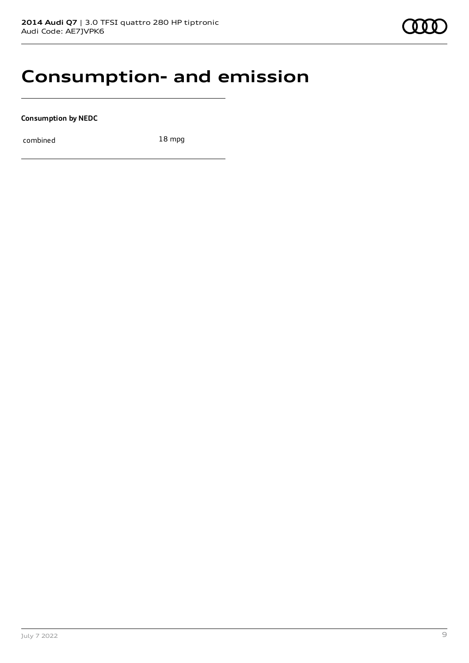### **Consumption- and emission**

**Consumption by NEDC**

combined 18 mpg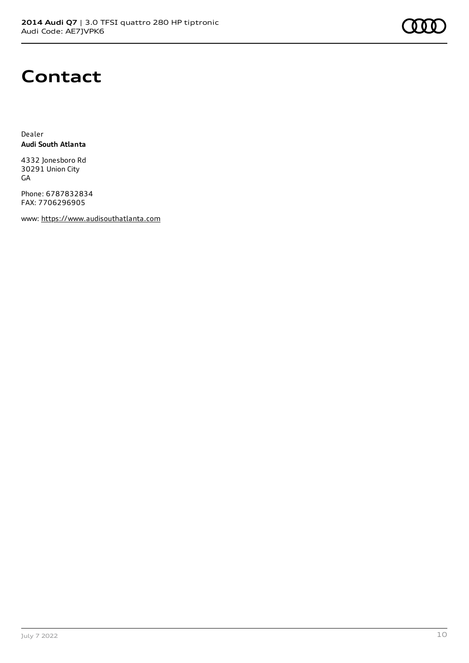

## **Contact**

Dealer **Audi South Atlanta**

4332 Jonesboro Rd 30291 Union City GA

Phone: 6787832834 FAX: 7706296905

www: [https://www.audisouthatlanta.com](https://www.audisouthatlanta.com/)